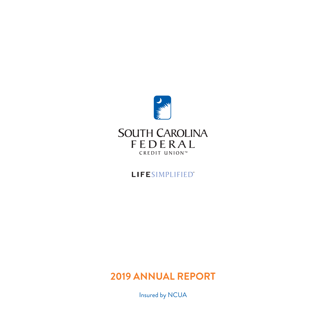

# LIFESIMPLIFIED"

# **2019 ANNUAL REPORT**

Insured by NCUA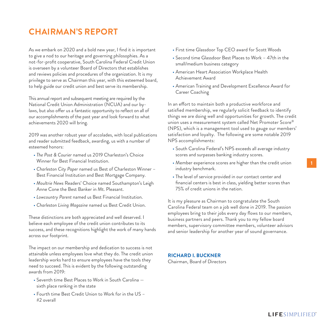# **CHAIRMAN'S REPORT**

As we embark on 2020 and a bold new year, I find it is important to give a nod to our heritage and governing philosophies. As a not-for-profit cooperative, South Carolina Federal Credit Union is overseen by a volunteer Board of Directors that establishes and reviews policies and procedures of the organization. It is my privilege to serve as Chairman this year, with this esteemed board, to help guide our credit union and best serve its membership.

This annual report and subsequent meeting are required by the National Credit Union Administration (NCUA) and our bylaws, but also offer us a fantastic opportunity to reflect on all of our accomplishments of the past year and look forward to what achievements 2020 will bring.

2019 was another robust year of accolades, with local publications and reader submitted feedback, awarding, us with a number of esteemed honors:

- *The Post & Courier* named us 2019 Charleston's Choice Winner for Best Financial Institution.
- *Charleston City Paper* named us Best of Charleston Winner Best Financial Institution and Best Mortgage Company.
- *Moultrie News* Readers' Choice named Southampton's Leigh Anne Cone the Best Banker in Mt. Pleasant.
- *Lowcountry Parent* named us Best Financial Institution.
- *Charleston Living Magazine* named us Best Credit Union.

These distinctions are both appreciated and well deserved. I believe each employee of the credit union contributes to its success, and these recognitions highlight the work of many hands across our footprint.

The impact on our membership and dedication to success is not attainable unless employees love what they do. The credit union leadership works hard to ensure employees have the tools they need to succeed. This is evident by the following outstanding awards from 2019:

- Seventh time Best Places to Work in South Carolina sixth place ranking in the state
- Fourth time Best Credit Union to Work for in the US #2 overall
- First time Glassdoor Top CEO award for Scott Woods
- Second time Glassdoor Best Places to Work 47th in the small/medium business category
- American Heart Association Workplace Health Achievement Award
- American Training and Development Excellence Award for Career Coaching

In an effort to maintain both a productive workforce and satisfied membership, we regularly solicit feedback to identify things we are doing well and opportunities for growth. The credit union uses a measurement system called Net Promoter Score® (NPS), which is a management tool used to gauge our members' satisfaction and loyalty. The following are some notable 2019 NPS accomplishments:

- South Carolina Federal's NPS exceeds all average industry scores and surpasses banking industry scores.
- Member experience scores are higher than the credit union industry benchmark.
- The level of service provided in our contact center and financial centers is best in class, yielding better scores than 75% of credit unions in the nation.

It is my pleasure as Chairman to congratulate the South Carolina Federal team on a job well done in 2019. The passion employees bring to their jobs every day flows to our members, business partners and peers. Thank you to my fellow board members, supervisory committee members, volunteer advisors and senior leadership for another year of sound governance.

#### **RICHARD I. BUCKNER**

Chairman, Board of Directors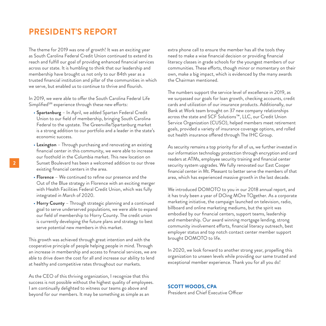### **PRESIDENT'S REPORT**

The theme for 2019 was one of growth! It was an exciting year as South Carolina Federal Credit Union continued to extend its reach and fulfill our goal of providing enhanced financial services across our state. It is humbling to think that our leadership and membership have brought us not only to our 84th year as a trusted financial institution and pillar of the communities in which we serve, but enabled us to continue to thrive and flourish.

In 2019, we were able to offer the South Carolina Federal Life Simplified<sup>SM</sup> experience through these new efforts:

- **Spartanburg** In April, we added Spartan Federal Credit Union to our field of membership, bringing South Carolina Federal to the upstate. The Greenville/Spartanburg market is a strong addition to our portfolio and a leader in the state's economic success.
- **Lexington** Through purchasing and renovating an existing financial center in this community, we were able to increase our foothold in the Columbia market. This new location on Sunset Boulevard has been a welcomed addition to our three existing financial centers in the area.
- **Florence** We continued to refine our presence and the Out of the Blue strategy in Florence with an exciting merger with Health Facilities Federal Credit Union, which was fully integrated in March of 2020.
- **Horry County** Through strategic planning and a continued goal to serve underserved populations, we were able to expand our field of membership to Horry County. The credit union is currently developing the future plans and strategy to best serve potential new members in this market.

This growth was achieved through great intention and with the cooperative principle of people helping people in mind. Through an increase in membership and access to financial services, we are able to drive down the cost for all and increase our ability to lend at healthy and competitive rates throughout our markets.

As the CEO of this thriving organization, I recognize that this success is not possible without the highest quality of employees. I am continually delighted to witness our teams go above and beyond for our members. It may be something as simple as an

extra phone call to ensure the member has all the tools they need to make a wise financial decision or providing financial literacy classes in grade schools for the youngest members of our communities. These efforts, though minor or momentary on their own, make a big impact, which is evidenced by the many awards the Chairman mentioned.

The numbers support the service level of excellence in 2019, as we surpassed our goals for loan growth, checking accounts, credit cards and utilization of our insurance products. Additionally, our Bank at Work team brought on 37 new company relationships across the state and SCF Solutions™, LLC, our Credit Union Service Organization (CUSO), helped members meet retirement goals, provided a variety of insurance coverage options, and rolled out health insurance offered through The IHC Group.

As security remains a top priority for all of us, we further invested in our information technology protection through encryption and card readers at ATMs, employee security training and financial center security system upgrades. We fully renovated our East Cooper financial center in Mt. Pleasant to better serve the members of that area, which has experienced massive growth in the last decade.

We introduced DOMOTO to you in our 2018 annual report, and it has truly been a year of DOing MOre TOgether. As a corporate marketing initiative, the campaign launched on television, radio, billboard and online marketing mediums, but the spirit was embodied by our financial centers, support teams, leadership and membership. Our award winning mortgage lending, strong community involvement efforts, financial literacy outreach, best employer status and top notch contact center member support brought DOMOTO to life.

In 2020, we look forward to another strong year, propelling this organization to unseen levels while providing our same trusted and exceptional member experience. Thank you for all you do!

#### **SCOTT WOODS, CPA**

President and Chief Executive Officer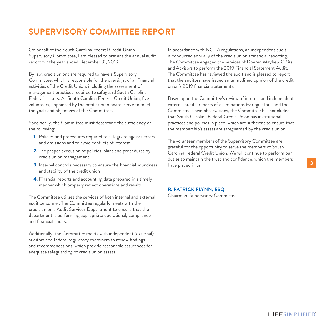# **SUPERVISORY COMMITTEE REPORT**

On behalf of the South Carolina Federal Credit Union Supervisory Committee, I am pleased to present the annual audit report for the year ended December 31, 2019.

By law, credit unions are required to have a Supervisory Committee, which is responsible for the oversight of all financial activities of the Credit Union, including the assessment of management practices required to safeguard South Carolina Federal's assets. At South Carolina Federal Credit Union, five volunteers, appointed by the credit union board, serve to meet the goals and objectives of the Committee.

Specifically, the Committee must determine the sufficiency of the following:

- **1.** Policies and procedures required to safeguard against errors and omissions and to avoid conflicts of interest
- **2.** The proper execution of policies, plans and procedures by credit union management
- **3.** Internal controls necessary to ensure the financial soundness and stability of the credit union
- **4.** Financial reports and accounting data prepared in a timely manner which properly reflect operations and results

The Committee utilizes the services of both internal and external audit personnel. The Committee regularly meets with the credit union's Audit Services Department to ensure that the department is performing appropriate operational, compliance and financial audits.

Additionally, the Committee meets with independent (external) auditors and federal regulatory examiners to review findings and recommendations, which provide reasonable assurances for adequate safeguarding of credit union assets.

In accordance with NCUA regulations, an independent audit is conducted annually of the credit union's financial reporting. The Committee engaged the services of Doeren Mayhew CPAs and Advisors to perform the 2019 Financial Statement Audit. The Committee has reviewed the audit and is pleased to report that the auditors have issued an unmodified opinion of the credit union's 2019 financial statements.

Based upon the Committee's review of internal and independent external audits, reports of examinations by regulators, and the Committee's own observations, the Committee has concluded that South Carolina Federal Credit Union has institutional practices and policies in place, which are sufficient to ensure that the membership's assets are safeguarded by the credit union.

The volunteer members of the Supervisory Committee are grateful for the opportunity to serve the members of South Carolina Federal Credit Union. We will continue to perform our duties to maintain the trust and confidence, which the members have placed in us.

#### **R. PATRICK FLYNN, ESQ.**

Chairman, Supervisory Committee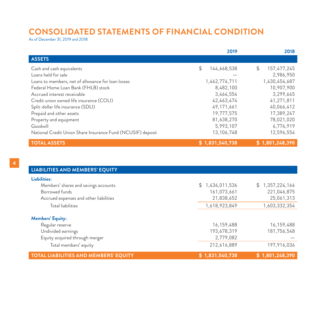### **CONSOLIDATED STATEMENTS OF FINANCIAL CONDITION**

As of December 31, 2019 and 2018

|                                                             | 2019              | 2018              |
|-------------------------------------------------------------|-------------------|-------------------|
| <b>ASSETS</b>                                               |                   |                   |
| Cash and cash equivalents                                   | \$<br>144,668,538 | 157,477,245<br>\$ |
| Loans held for sale                                         |                   | 2,986,950         |
| Loans to members, net of allowance for loan losses          | 1,462,774,711     | 1,430,454,687     |
| Federal Home Loan Bank (FHLB) stock                         | 8,482,100         | 10,907,900        |
| Accrued interest receivable                                 | 3,464,554         | 3,299,645         |
| Credit union owned life insurance (COLI)                    | 42,463,474        | 41,271,811        |
| Split-dollar life insurance (SDLI)                          | 49.171.661        | 40,066,412        |
| Prepaid and other assets                                    | 19,777,575        | 17,389,247        |
| Property and equipment                                      | 81,638,270        | 78,021,020        |
| Goodwill                                                    | 5,993,107         | 6,776,919         |
| National Credit Union Share Insurance Fund (NCUSIF) deposit | 13,106,748        | 12,596,554        |
| <b>TOTAL ASSETS</b>                                         | \$1,831,540,738   | \$1,801,248,390   |

| LIABILITIES AND MEMBERS' EQUITY              |                 |                 |
|----------------------------------------------|-----------------|-----------------|
| Liabilities:                                 |                 |                 |
| Members' shares and savings accounts         | \$1,436,011,536 | \$1,357,224,166 |
| Borrowed funds                               | 161,073,661     | 221,046,875     |
| Accrued expenses and other liabilities       | 21,838,652      | 25,061,313      |
| Total liabilities                            | 1,618,923,849   | 1,603,332,354   |
| <b>Members' Equity:</b>                      |                 |                 |
| Regular reserve                              | 16,159,488      | 16,159,488      |
| Undivided earnings                           | 193,678,319     | 181,756,548     |
| Equity acquired through merger               | 2,779,082       |                 |
| Total members' equity                        | 212,616,889     | 197,916,036     |
| <b>TOTAL LIABILITIES AND MEMBERS' EQUITY</b> | \$1,831,540,738 | \$1,801,248,390 |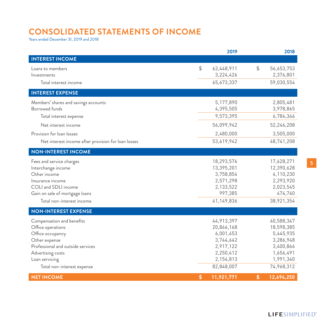# **CONSOLIDATED STATEMENTS OF INCOME**

Years ended December 31, 2019 and 2018

|                                                     | 2019             |                  | 2018       |
|-----------------------------------------------------|------------------|------------------|------------|
| <b>INTEREST INCOME</b>                              |                  |                  |            |
| Loans to members                                    | \$<br>62,448,911 | $$\mathfrak{S}$$ | 56,653,753 |
| Investments                                         | 3,224,426        |                  | 2,376,801  |
| Total interest income                               | 65,673,337       |                  | 59,030,554 |
| <b>INTEREST EXPENSE</b>                             |                  |                  |            |
| Members' shares and savings accounts                | 5,177,890        |                  | 2,805,481  |
| Borrowed funds                                      | 4,395,505        |                  | 3,978,865  |
| Total interest expense                              | 9,573,395        |                  | 6,784,346  |
| Net interest income                                 | 56,099,942       |                  | 52,246,208 |
| Provision for loan losses                           | 2,480,000        |                  | 3,505,000  |
| Net interest income after provision for loan losses | 53,619,942       |                  | 48,741,208 |
| <b>NON-INTEREST INCOME</b>                          |                  |                  |            |
| Fees and service charges                            | 18,293,576       |                  | 17,628,271 |
| Interchange income                                  | 13,395,201       |                  | 12,390,628 |
| Other income                                        | 3,758,854        |                  | 4,110,230  |
| Insurance income                                    | 2,571,298        |                  | 2,293,920  |
| COLI and SDLI income                                | 2,133,522        |                  | 2,023,545  |
| Gain on sale of mortgage loans                      | 997,385          |                  | 474,760    |
| Total non-interest income                           | 41,149,836       |                  | 38,921,354 |
| <b>NON-INTEREST EXPENSE</b>                         |                  |                  |            |
| Compensation and benefits                           | 44,913,397       |                  | 40,588,347 |
| Office operations                                   | 20,866,168       |                  | 18,598,385 |
| Office occupancy                                    | 6,001,453        |                  | 5,445,935  |
| Other expense                                       | 3,744,642        |                  | 3,286,948  |
| Professional and outside services                   | 2,917,122        |                  | 3,400,866  |
| Advertising costs                                   | 2,250,412        |                  | 1,656,491  |
| Loan servicing                                      | 2,154,813        |                  | 1,991,340  |
| Total non-interest expense                          | 82,848,007       |                  | 74,968,312 |
| <b>NET INCOME</b>                                   | \$<br>11,921,771 | \$               | 12,694,250 |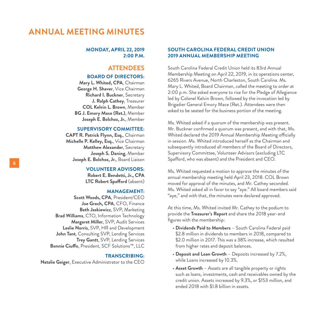### **ANNUAL MEETING MINUTES**

#### **MONDAY, APRIL 22, 2019 2:00 P.M.**

#### **ATTENDEES**

#### **BOARD OF DIRECTORS:**

**Mary L. Whited, CPA**, Chairman **George H. Shaver**, Vice Chairman **Richard I. Buckner**, Secretary **J. Ralph Cathey**, Treasurer **COL Kelvin L. Brown**, Member **BG J. Emory Mace (Ret.)**, Member **Joseph E. Bolchoz, Jr.**, Member

#### **SUPERVISORY COMMITTEE:**

**CAPT R. Patrick Flynn, Esq.**, Chairman **Michelle P. Kelley, Esq.**, Vice Chairman **Matthew Alexander**, Secretary **Joseph S. Daning**, Member **Joseph E. Bolchoz, Jr.**, Board Liaison

#### **VOLUNTEER ADVISORS:**

**Robert E. Bendetti, Jr., CPA LTC Robert Spafford** (absent)

#### **MANAGEMENT:**

**Scott Woods, CPA**, President/CEO **Joe Grech, CPA**, CFO, Finance **Beth Jaskiewicz**, SVP, Marketing **Brad Williams**, CTO, Information Technology **Margaret Miller**, SVP, Audit Services **Leslie Norris**, SVP, HR and Development **John Tant**, Consulting SVP, Lending Services **Trey Gantt**, SVP, Lending Services **Bonnie Ciuffo**, President, SCF Solutions™, LLC

#### **TRANSCRIBING:**

**Natalie Geiger**, Executive Administrator to the CEO

#### **SOUTH CAROLINA FEDERAL CREDIT UNION 2019 ANNUAL MEMBERSHIP MEETING**

South Carolina Federal Credit Union held its 83rd Annual Membership Meeting on April 22, 2019, in its operations center, 6265 Rivers Avenue, North Charleston, South Carolina. Ms. Mary L. Whited, Board Chairman, called the meeting to order at 2:00 p.m. She asked everyone to rise for the Pledge of Allegiance led by Colonel Kelvin Brown, followed by the invocation led by Brigadier General Emory Mace (Ret.). Attendees were then asked to be seated for the business portion of the meeting.

Ms. Whited asked if a quorum of the membership was present. Mr. Buckner confirmed a quorum was present, and with that, Ms. Whited declared the 2019 Annual Membership Meeting officially in session. Ms. Whited introduced herself as the Chairman and subsequently introduced all members of the Board of Directors, Supervisory Committee, Volunteer Advisors (excluding LTC Spafford, who was absent) and the President and CEO.

Ms. Whited requested a motion to approve the minutes of the annual membership meeting held April 23, 2018. COL Brown moved for approval of the minutes, and Mr. Cathey seconded. Ms. Whited asked all in favor to say "aye." All board members said "aye," and with that, the minutes were declared approved.

At this time, Ms. Whited invited Mr. Cathey to the podium to provide the **Treasurer's Report** and share the 2018 year-end figures with the membership:

- **Dividends Paid to Members** South Carolina Federal paid \$2.8 million in dividends to members in 2018, compared to \$2.0 million in 2017. This was a 38% increase, which resulted from higher rates and deposit balances.
- **Deposit and Loan Growth** Deposits increased by 7.2%, while Loans increased by 10.3%.
- **Asset Growth** Assets are all tangible property or rights such as loans, investments, cash and receivables owned by the credit union. Assets increased by 9.3%, or \$153 million, and ended 2018 with \$1.8 billion in assets.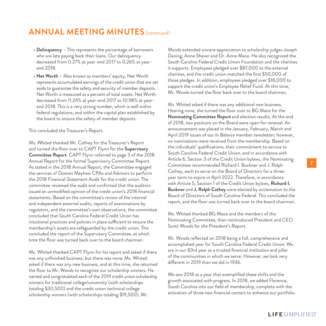### **ANNUAL MEETING MINUTES** (continued)

- **Delinquency** This represents the percentage of borrowers who are late paying back their loans. Our delinquency decreased from 0.27% at year-end 2017 to 0.26% at yearend 2018.
- **Net Worth** Also known as members' equity, Net Worth represents accumulated earnings of the credit union that are set aside to guarantee the safety and security of member deposits. Net Worth is measured as a percent of total assets. Net Worth decreased from 11.24% at year-end 2017 to 10.98% at yearend 2018. This is a very strong number, which is well within federal regulations, and within the capital plan established by the board to ensure the safety of member deposits.

This concluded the Treasurer's Report.

Ms. Whited thanked Mr. Cathey for the Treasurer's Report and turned the floor over to CAPT Flynn for the **Supervisory Committee Report**. CAPT Flynn referred to page 3 of the 2018 Annual Report for the formal Supervisory Committee Report. As stated in the 2018 Annual Report, the Committee engaged the services of Doeren Mayhew CPAs and Advisors to perform the 2018 Financial Statement Audit for the credit union. The committee reviewed the audit and confirmed that the auditors issued an unmodified opinion of the credit union's 2018 financial statements. Based on the committee's review of the internal and independent external audits, reports of examinations by regulators, and the committee's own observations, the committee concluded that South Carolina Federal Credit Union has intuitional practices and policies in place sufficient to ensure the membership's assets are safeguarded by the credit union. This concluded the report of the Supervisory Committee, at which time the floor was turned back over to the board chairman.

Ms. Whited thanked CAPT Flynn for his report and asked if there was any unfinished business, but there was none. Ms. Whited asked if there was any new business, and at this time, she returned the floor to Mr. Woods to recognize our scholarship winners. He named and congratulated each of the 2019 credit union scholarship winners for traditional college/university (with scholarships totaling \$30,500) and the credit union technical college scholarship winners (with scholarships totaling \$19,500). Mr.

Woods extended sincere appreciation to scholarship judges Joseph Daning, Anne Shaver and Dr. Anne Mace. He also recognized the South Carolina Federal Credit Union Foundation and the charities it supports. Employees pledged over \$87,000 to the external charities, and the credit union matched the first \$50,000 of those pledges. In addition, employees pledged over \$18,000 to support the credit union's Employee Relief Fund. At this time, Mr. Woods turned the floor back over to the board chairman.

Ms. Whited asked if there was any additional new business. Hearing none, she turned the floor over to BG Mace for the **Nominating Committee Report** and election results. At the end of 2018, two positions on the Board were open for renewal. An announcement was placed in the January, February, March and April 2019 issues of our *In Balance* member newsletter; however, no nominations were received from the membership. Based on the individuals' qualifications, their commitment to service to South Carolina Federal Credit Union, and in accordance with Article 6, Section 3 of the Credit Union bylaws, the Nominating Committee recommended Richard I. Buckner and J. Ralph Cathey, each to serve on the Board of Directors for a threeyear term to expire in April 2022. Therefore, in accordance with Article 5, Section 1 of the Credit Union bylaws, **Richard I. Buckner** and **J. Ralph Cathey** were elected by acclamation to the Board of Directors of South Carolina Federal. This concluded the report, and the floor was turned back over to the board chairman.

Ms. Whited thanked BG Mace and the members of the Nominating Committee, then reintroduced President and CEO Scott Woods for the President's Report.

Mr. Woods reflected on 2018 being a full, comprehensive and accomplished year for South Carolina Federal Credit Union. We are in our 83rd year as a trusted financial institution and pillar of the communities in which we serve. However, we look very different in 2019 than we did in 1936.

We saw 2018 as a year that exemplified these shifts and the growth associated with progress. In 2018, we added Florence, South Carolina into our field of membership, complete with the activation of three new financial centers to enhance our portfolio.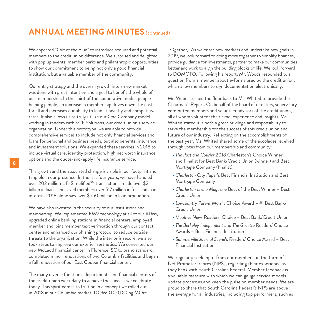### **ANNUAL MEETING MINUTES** (continued)

We appeared "Out of the Blue" to introduce acquired and potential members to the credit union difference. We surprised and delighted with pop up events, member perks and philanthropic opportunities to show our commitment to being not only a good financial institution, but a valuable member of the community.

Our entry strategy and the overall growth into a new market was done with great intention and a goal to benefit the whole of our membership. In the spirit of the cooperative model, people helping people, an increase in membership drives down the cost for all and increases our ability to loan at healthy and competitive rates. It also allows us to truly utilize our One Company model, working in tandem with SCF Solutions, our credit union's service organization. Under this prototype, we are able to provide comprehensive services to include not only financial services and loans for personal and business needs, but also benefits, insurance and investment solutions. We expanded these services in 2018 to include virtual care, identity protection, high net worth insurance options and the quote-and-apply life insurance service.

This growth and the associated change is visible in our footprint and tangible in our presence. In the last four years, we have handled over 202 million Life Simplified<sup>SM</sup> transactions, made over \$2 billion in loans, and saved members over \$17 million in fees and loan interest. 2018 alone saw over \$550 million in loan production.

We have also invested in the security of our institutions and membership. We implemented EMV technology at all of our ATMs, upgraded online banking stations in financial centers, employed member and joint member text verification through our contact center and enhanced our phishing protocol to reduce outside threats to the organization. While the interior is secure, we also took steps to improve our exterior aesthetics. We converted our new McLeod financial center in Florence, SC to brand standard, completed minor renovations of two Columbia facilities and began a full renovation of our East Cooper financial center.

The many diverse functions, departments and financial centers of the credit union work daily to achieve the success we celebrate today. This spirit comes to fruition in a concept we rolled out in 2018 in our Columbia market: DOMOTO (DOing MOre

TOgether). As we enter new markets and undertake new goals in 2019, we look forward to doing more together to simplify finances, provide guidance for investments, partner to make our communities better and work to align the building blocks of life. We look forward to DOMOTO. Following his report, Mr. Woods responded to a question from a member about e-forms used by the credit union, which allow members to sign documentation electronically.

Mr. Woods turned the floor back to Ms. Whited to provide the Chairman's Report. On behalf of the board of directors, supervisory committee members and volunteer advisors of the credit union, all of whom volunteer their time, experience and insights, Ms. Whited stated it is both a great privilege and responsibility to serve the membership for the success of this credit union and future of our industry. Reflecting on the accomplishments of the past year, Ms. Whited shared some of the accolades received through votes from our membership and community:

- *The Post and Courier* 2018 Charleston's Choice Winner and Finalist for Best Bank/Credit Union (winner) and Best Mortgage Company (finalist)
- *Charleston City Paper*'s Best Financial Institution and Best Mortgage Company
- *Charleston Living Magazine* Best of the Best Winner Best Credit Union
- *Lowcountry Parent* Mom's Choice Award #1 Best Bank/ Credit Union
- *Moultrie News* Readers' Choice Best Bank/Credit Union
- *The Berkeley Independent* and *The Gazette* Readers' Choice Awards – Best Financial Institution
- *Summerville Journal Scene*'s Readers' Choice Award Best Financial Institution

We regularly seek input from our members, in the form of Net Promoter Scores (NPS), regarding their experience as they bank with South Carolina Federal. Member feedback is a valuable measure with which we can gauge service models, update processes and keep the pulse on member needs. We are proud to share that South Carolina Federal's NPS are above the average for all industries, including top performers, such as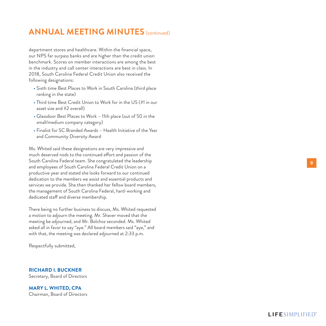# **ANNUAL MEETING MINUTES** (continued)

department stores and healthcare. Within the financial space, our NPS far surpass banks and are higher than the credit union benchmark. Scores on member interactions are among the best in the industry and call center interactions are best in class. In 2018, South Carolina Federal Credit Union also received the following designations:

- Sixth time Best Places to Work in South Carolina (third place ranking in the state)
- Third time Best Credit Union to Work for in the US (#1 in our asset size and #2 overall)
- Glassdoor Best Places to Work 11th place (out of 50 in the small/medium company category)
- Finalist for SC Branded Awards Health Initiative of the Year and Community Diversity Award

Ms. Whited said these designations are very impressive and much deserved nods to the continued effort and passion of the South Carolina Federal team. She congratulated the leadership and employees of South Carolina Federal Credit Union on a productive year and stated she looks forward to our continued dedication to the members we assist and essential products and services we provide. She then thanked her fellow board members, the management of South Carolina Federal, hard-working and dedicated staff and diverse membership.

There being no further business to discuss, Ms. Whited requested a motion to adjourn the meeting. Mr. Shaver moved that the meeting be adjourned, and Mr. Bolchoz seconded. Ms. Whited asked all in favor to say "aye." All board members said "aye," and with that, the meeting was declared adjourned at 2:33 p.m.

Respectfully submitted,

#### **RICHARD I. BUCKNER**

Secretary, Board of Directors

**MARY L. WHITED, CPA** Chairman, Board of Directors